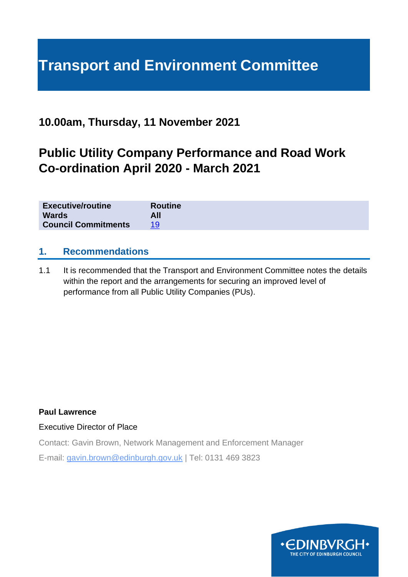# **Transport and Environment Committee**

## **10.00am, Thursday, 11 November 2021**

## **Public Utility Company Performance and Road Work Co-ordination April 2020 - March 2021**

| <b>Executive/routine</b>   | <b>Routine</b> |
|----------------------------|----------------|
| <b>Wards</b>               | All            |
| <b>Council Commitments</b> |                |

## **1. Recommendations**

1.1 It is recommended that the Transport and Environment Committee notes the details within the report and the arrangements for securing an improved level of performance from all Public Utility Companies (PUs).

#### **Paul Lawrence**

Executive Director of Place

Contact: Gavin Brown, Network Management and Enforcement Manager E-mail: gavin.brown@edinburgh.gov.uk | Tel: 0131 469 3823

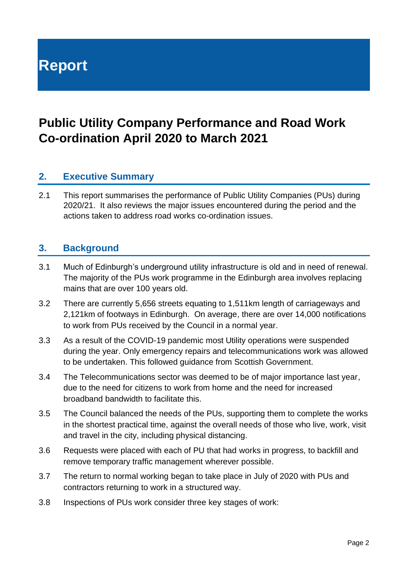**Report**

## **Public Utility Company Performance and Road Work Co-ordination April 2020 to March 2021**

## **2. Executive Summary**

2.1 This report summarises the performance of Public Utility Companies (PUs) during 2020/21. It also reviews the major issues encountered during the period and the actions taken to address road works co-ordination issues.

## **3. Background**

- 3.1 Much of Edinburgh's underground utility infrastructure is old and in need of renewal. The majority of the PUs work programme in the Edinburgh area involves replacing mains that are over 100 years old.
- 3.2 There are currently 5,656 streets equating to 1,511km length of carriageways and 2,121km of footways in Edinburgh. On average, there are over 14,000 notifications to work from PUs received by the Council in a normal year.
- 3.3 As a result of the COVID-19 pandemic most Utility operations were suspended during the year. Only emergency repairs and telecommunications work was allowed to be undertaken. This followed guidance from Scottish Government.
- 3.4 The Telecommunications sector was deemed to be of major importance last year, due to the need for citizens to work from home and the need for increased broadband bandwidth to facilitate this.
- 3.5 The Council balanced the needs of the PUs, supporting them to complete the works in the shortest practical time, against the overall needs of those who live, work, visit and travel in the city, including physical distancing.
- 3.6 Requests were placed with each of PU that had works in progress, to backfill and remove temporary traffic management wherever possible.
- 3.7 The return to normal working began to take place in July of 2020 with PUs and contractors returning to work in a structured way.
- 3.8 Inspections of PUs work consider three key stages of work: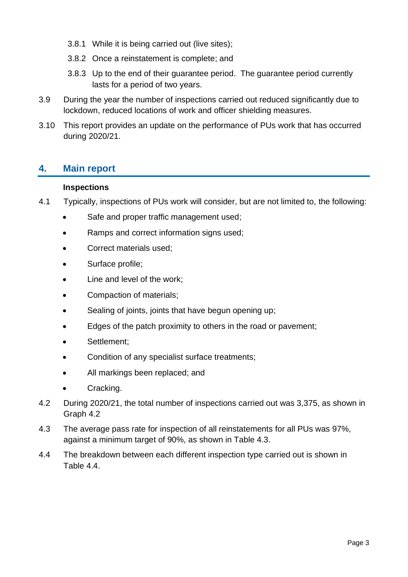- 3.8.1 While it is being carried out (live sites);
- 3.8.2 Once a reinstatement is complete; and
- 3.8.3 Up to the end of their guarantee period. The guarantee period currently lasts for a period of two years.
- 3.9 During the year the number of inspections carried out reduced significantly due to lockdown, reduced locations of work and officer shielding measures.
- 3.10 This report provides an update on the performance of PUs work that has occurred during 2020/21.

## **4. Main report**

## **Inspections**

- 4.1 Typically, inspections of PUs work will consider, but are not limited to, the following:
	- Safe and proper traffic management used;
	- Ramps and correct information signs used;
	- Correct materials used;
	- Surface profile;
	- Line and level of the work;
	- Compaction of materials;
	- Sealing of joints, joints that have begun opening up;
	- Edges of the patch proximity to others in the road or pavement;
	- Settlement;
	- Condition of any specialist surface treatments;
	- All markings been replaced; and
	- Cracking.
- 4.2 During 2020/21, the total number of inspections carried out was 3,375, as shown in Graph 4.2
- 4.3 The average pass rate for inspection of all reinstatements for all PUs was 97%, against a minimum target of 90%, as shown in Table 4.3.
- 4.4 The breakdown between each different inspection type carried out is shown in Table 4.4.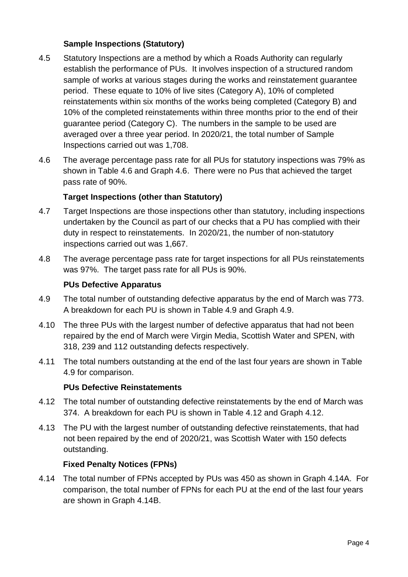## **Sample Inspections (Statutory)**

- 4.5 Statutory Inspections are a method by which a Roads Authority can regularly establish the performance of PUs. It involves inspection of a structured random sample of works at various stages during the works and reinstatement guarantee period. These equate to 10% of live sites (Category A), 10% of completed reinstatements within six months of the works being completed (Category B) and 10% of the completed reinstatements within three months prior to the end of their guarantee period (Category C). The numbers in the sample to be used are averaged over a three year period. In 2020/21, the total number of Sample Inspections carried out was 1,708.
- 4.6 The average percentage pass rate for all PUs for statutory inspections was 79% as shown in Table 4.6 and Graph 4.6. There were no Pus that achieved the target pass rate of 90%.

## **Target Inspections (other than Statutory)**

- 4.7 Target Inspections are those inspections other than statutory, including inspections undertaken by the Council as part of our checks that a PU has complied with their duty in respect to reinstatements. In 2020/21, the number of non-statutory inspections carried out was 1,667.
- 4.8 The average percentage pass rate for target inspections for all PUs reinstatements was 97%. The target pass rate for all PUs is 90%.

### **PUs Defective Apparatus**

- 4.9 The total number of outstanding defective apparatus by the end of March was 773. A breakdown for each PU is shown in Table 4.9 and Graph 4.9.
- 4.10 The three PUs with the largest number of defective apparatus that had not been repaired by the end of March were Virgin Media, Scottish Water and SPEN, with 318, 239 and 112 outstanding defects respectively.
- 4.11 The total numbers outstanding at the end of the last four years are shown in Table 4.9 for comparison.

#### **PUs Defective Reinstatements**

- 4.12 The total number of outstanding defective reinstatements by the end of March was 374. A breakdown for each PU is shown in Table 4.12 and Graph 4.12.
- 4.13 The PU with the largest number of outstanding defective reinstatements, that had not been repaired by the end of 2020/21, was Scottish Water with 150 defects outstanding.

## **Fixed Penalty Notices (FPNs)**

4.14 The total number of FPNs accepted by PUs was 450 as shown in Graph 4.14A. For comparison, the total number of FPNs for each PU at the end of the last four years are shown in Graph 4.14B.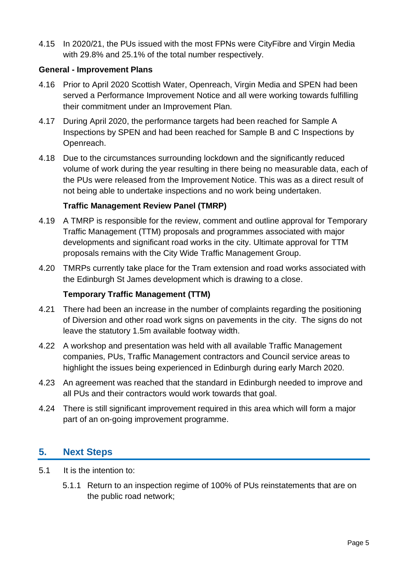4.15 In 2020/21, the PUs issued with the most FPNs were CityFibre and Virgin Media with 29.8% and 25.1% of the total number respectively.

### **General - Improvement Plans**

- 4.16 Prior to April 2020 Scottish Water, Openreach, Virgin Media and SPEN had been served a Performance Improvement Notice and all were working towards fulfilling their commitment under an Improvement Plan.
- 4.17 During April 2020, the performance targets had been reached for Sample A Inspections by SPEN and had been reached for Sample B and C Inspections by Openreach.
- 4.18 Due to the circumstances surrounding lockdown and the significantly reduced volume of work during the year resulting in there being no measurable data, each of the PUs were released from the Improvement Notice. This was as a direct result of not being able to undertake inspections and no work being undertaken.

## **Traffic Management Review Panel (TMRP)**

- 4.19 A TMRP is responsible for the review, comment and outline approval for Temporary Traffic Management (TTM) proposals and programmes associated with major developments and significant road works in the city. Ultimate approval for TTM proposals remains with the City Wide Traffic Management Group.
- 4.20 TMRPs currently take place for the Tram extension and road works associated with the Edinburgh St James development which is drawing to a close.

## **Temporary Traffic Management (TTM)**

- 4.21 There had been an increase in the number of complaints regarding the positioning of Diversion and other road work signs on pavements in the city. The signs do not leave the statutory 1.5m available footway width.
- 4.22 A workshop and presentation was held with all available Traffic Management companies, PUs, Traffic Management contractors and Council service areas to highlight the issues being experienced in Edinburgh during early March 2020.
- 4.23 An agreement was reached that the standard in Edinburgh needed to improve and all PUs and their contractors would work towards that goal.
- 4.24 There is still significant improvement required in this area which will form a major part of an on-going improvement programme.

## **5. Next Steps**

- 5.1 It is the intention to:
	- 5.1.1 Return to an inspection regime of 100% of PUs reinstatements that are on the public road network;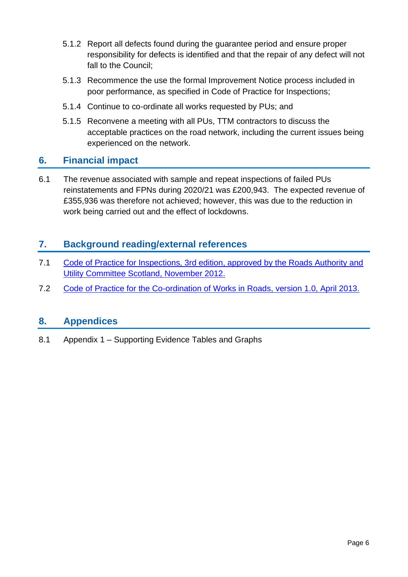- 5.1.2 Report all defects found during the guarantee period and ensure proper responsibility for defects is identified and that the repair of any defect will not fall to the Council;
- 5.1.3 Recommence the use the formal Improvement Notice process included in poor performance, as specified in Code of Practice for Inspections;
- 5.1.4 Continue to co-ordinate all works requested by PUs; and
- 5.1.5 Reconvene a meeting with all PUs, TTM contractors to discuss the acceptable practices on the road network, including the current issues being experienced on the network.

## **6. Financial impact**

6.1 The revenue associated with sample and repeat inspections of failed PUs reinstatements and FPNs during 2020/21 was £200,943. The expected revenue of £355,936 was therefore not achieved; however, this was due to the reduction in work being carried out and the effect of lockdowns.

## **7. Background reading/external references**

- 7.1 [Code of Practice for Inspections, 3rd edition, approved by the Roads Authority and](http://www.roadworksscotland.gov.uk/LegislationGuidance/CodesofPractice.aspx)  [Utility Committee Scotland, November 2012.](http://www.roadworksscotland.gov.uk/LegislationGuidance/CodesofPractice.aspx)
- 7.2 [Code of Practice for the Co-ordination of Works in Roads, version 1.0, April 2013.](http://www.roadworksscotland.gov.uk/LegislationGuidance/CodesofPractice.aspx)

## **8. Appendices**

8.1 Appendix 1 – Supporting Evidence Tables and Graphs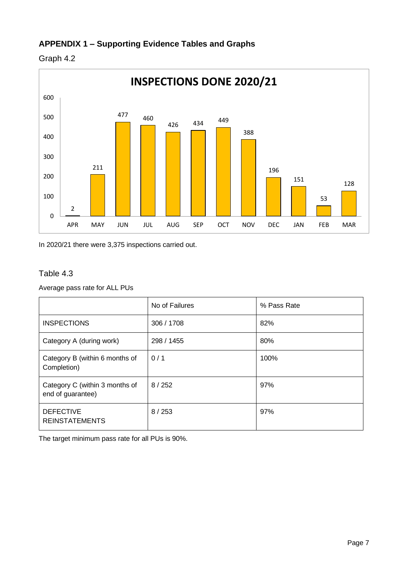## **APPENDIX 1 – Supporting Evidence Tables and Graphs**





In 2020/21 there were 3,375 inspections carried out.

### Table 4.3

Average pass rate for ALL PUs

|                                                     | No of Failures | % Pass Rate |
|-----------------------------------------------------|----------------|-------------|
| <b>INSPECTIONS</b>                                  | 306 / 1708     | 82%         |
| Category A (during work)                            | 298 / 1455     | 80%         |
| Category B (within 6 months of<br>Completion)       | 0/1            | 100%        |
| Category C (within 3 months of<br>end of guarantee) | 8/252          | 97%         |
| <b>DEFECTIVE</b><br><b>REINSTATEMENTS</b>           | 8/253          | 97%         |

The target minimum pass rate for all PUs is 90%.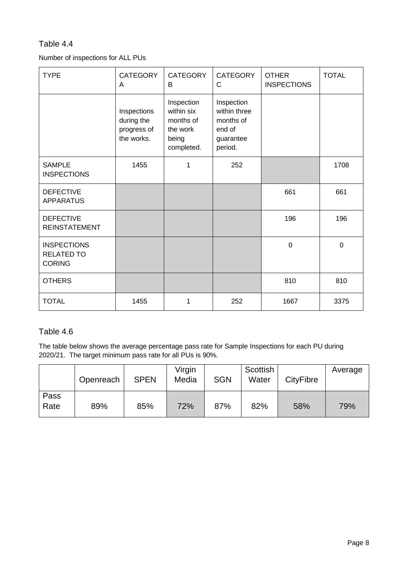#### Table 4.4

#### Number of inspections for ALL PUs

| <b>TYPE</b>                                              | <b>CATEGORY</b><br>A                                   | <b>CATEGORY</b><br>B                                                     | <b>CATEGORY</b><br>C                                                      | <b>OTHER</b><br><b>INSPECTIONS</b> | <b>TOTAL</b> |
|----------------------------------------------------------|--------------------------------------------------------|--------------------------------------------------------------------------|---------------------------------------------------------------------------|------------------------------------|--------------|
|                                                          | Inspections<br>during the<br>progress of<br>the works. | Inspection<br>within six<br>months of<br>the work<br>being<br>completed. | Inspection<br>within three<br>months of<br>end of<br>guarantee<br>period. |                                    |              |
| <b>SAMPLE</b><br><b>INSPECTIONS</b>                      | 1455                                                   | 1                                                                        | 252                                                                       |                                    | 1708         |
| <b>DEFECTIVE</b><br><b>APPARATUS</b>                     |                                                        |                                                                          |                                                                           | 661                                | 661          |
| <b>DEFECTIVE</b><br><b>REINSTATEMENT</b>                 |                                                        |                                                                          |                                                                           | 196                                | 196          |
| <b>INSPECTIONS</b><br><b>RELATED TO</b><br><b>CORING</b> |                                                        |                                                                          |                                                                           | $\overline{0}$                     | $\mathbf 0$  |
| <b>OTHERS</b>                                            |                                                        |                                                                          |                                                                           | 810                                | 810          |
| <b>TOTAL</b>                                             | 1455                                                   | 1                                                                        | 252                                                                       | 1667                               | 3375         |

#### Table 4.6

The table below shows the average percentage pass rate for Sample Inspections for each PU during 2020/21. The target minimum pass rate for all PUs is 90%.

|              | Openreach | <b>SPEN</b> | Virgin<br>Media | <b>SGN</b> | Scottish<br>Water | <b>CityFibre</b> | Average |
|--------------|-----------|-------------|-----------------|------------|-------------------|------------------|---------|
| Pass<br>Rate | 89%       | 85%         | 72%             | 87%        | 82%               | 58%              | 79%     |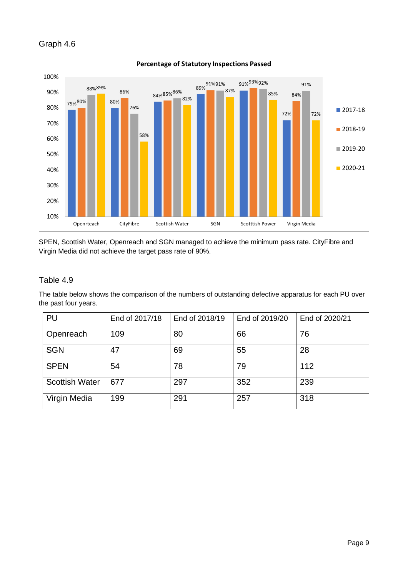### Graph 4.6



SPEN, Scottish Water, Openreach and SGN managed to achieve the minimum pass rate. CityFibre and Virgin Media did not achieve the target pass rate of 90%.

#### Table 4.9

The table below shows the comparison of the numbers of outstanding defective apparatus for each PU over the past four years.

| PU                    | End of 2017/18 | End of 2018/19 | End of 2019/20 | End of 2020/21 |
|-----------------------|----------------|----------------|----------------|----------------|
| Openreach             | 109            | 80             | 66             | 76             |
| <b>SGN</b>            | 47             | 69             | 55             | 28             |
| <b>SPEN</b>           | 54             | 78             | 79             | 112            |
| <b>Scottish Water</b> | 677            | 297            | 352            | 239            |
| Virgin Media          | 199            | 291            | 257            | 318            |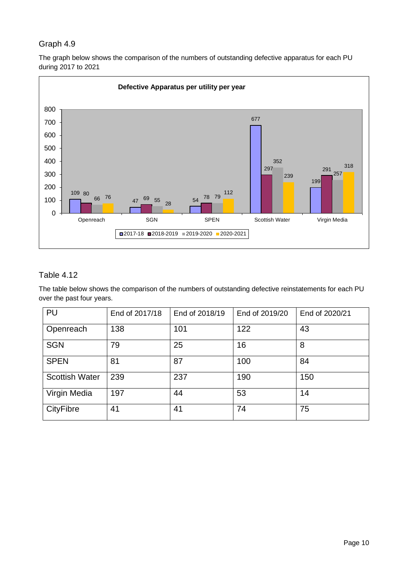### Graph 4.9

The graph below shows the comparison of the numbers of outstanding defective apparatus for each PU during 2017 to 2021



## Table 4.12

The table below shows the comparison of the numbers of outstanding defective reinstatements for each PU over the past four years.

| PU                    | End of 2017/18 | End of 2018/19 | End of 2019/20 | End of 2020/21 |
|-----------------------|----------------|----------------|----------------|----------------|
| Openreach             | 138            | 101            | 122            | 43             |
| <b>SGN</b>            | 79             | 25             | 16             | 8              |
| <b>SPEN</b>           | 81             | 87             | 100            | 84             |
| <b>Scottish Water</b> | 239            | 237            | 190            | 150            |
| Virgin Media          | 197            | 44             | 53             | 14             |
| <b>CityFibre</b>      | 41             | 41             | 74             | 75             |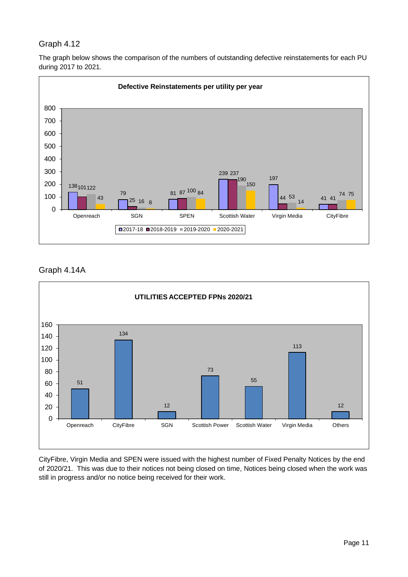## Graph 4.12

The graph below shows the comparison of the numbers of outstanding defective reinstatements for each PU during 2017 to 2021.



Graph 4.14A



CityFibre, Virgin Media and SPEN were issued with the highest number of Fixed Penalty Notices by the end of 2020/21. This was due to their notices not being closed on time, Notices being closed when the work was still in progress and/or no notice being received for their work.